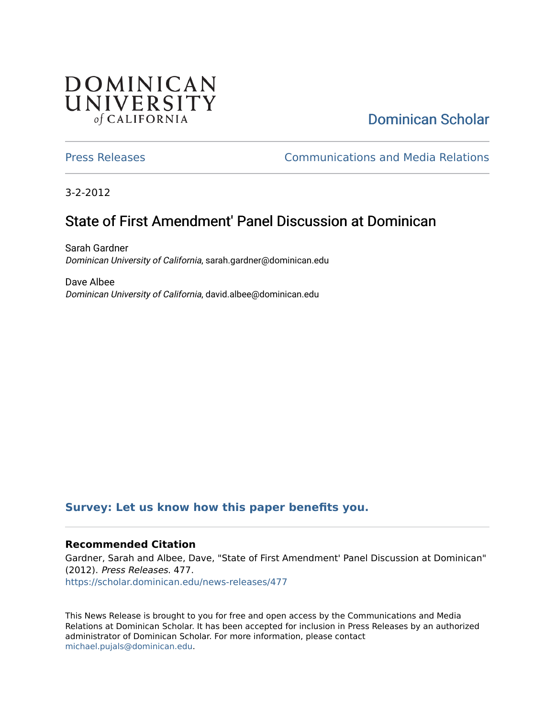## DOMINICAN UNIVERSITY of CALIFORNIA

# [Dominican Scholar](https://scholar.dominican.edu/)

[Press Releases](https://scholar.dominican.edu/news-releases) [Communications and Media Relations](https://scholar.dominican.edu/communications-media) 

3-2-2012

# State of First Amendment' Panel Discussion at Dominican

Sarah Gardner Dominican University of California, sarah.gardner@dominican.edu

Dave Albee Dominican University of California, david.albee@dominican.edu

#### **[Survey: Let us know how this paper benefits you.](https://dominican.libwizard.com/dominican-scholar-feedback)**

#### **Recommended Citation**

Gardner, Sarah and Albee, Dave, "State of First Amendment' Panel Discussion at Dominican" (2012). Press Releases. 477. [https://scholar.dominican.edu/news-releases/477](https://scholar.dominican.edu/news-releases/477?utm_source=scholar.dominican.edu%2Fnews-releases%2F477&utm_medium=PDF&utm_campaign=PDFCoverPages)

This News Release is brought to you for free and open access by the Communications and Media Relations at Dominican Scholar. It has been accepted for inclusion in Press Releases by an authorized administrator of Dominican Scholar. For more information, please contact [michael.pujals@dominican.edu.](mailto:michael.pujals@dominican.edu)